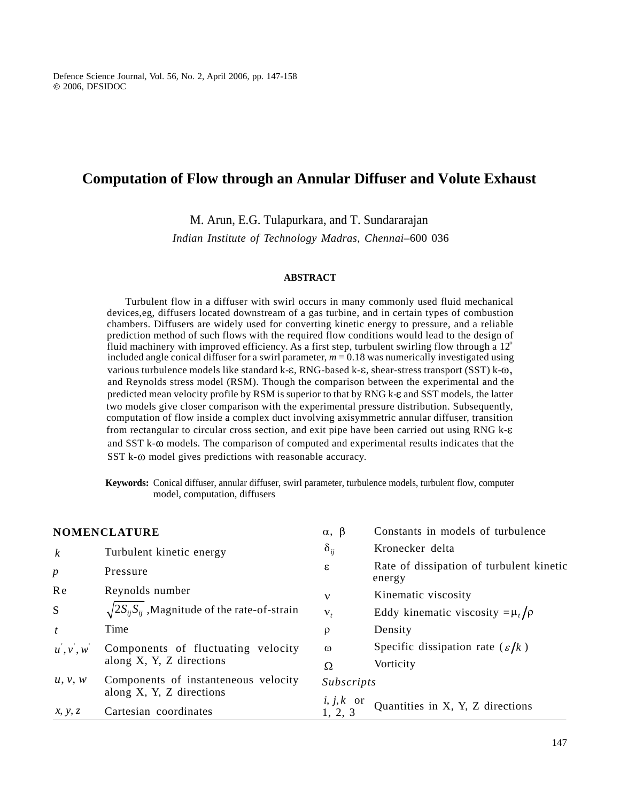# **Computation of Flow through an Annular Diffuser and Volute Exhaust**

# **ABSTRACT**

| <b>Computation of Flow through an Annular Diffuser and Volute Exhaust</b><br>M. Arun, E.G. Tulapurkara, and T. Sundararajan                                                                                                                                                                                                                                                                                                                                                                                                                                                                                                                                                                                                                                                                                                                                                                                                                                                                                |                                                                        |                                                                                                  |  |  |  |
|------------------------------------------------------------------------------------------------------------------------------------------------------------------------------------------------------------------------------------------------------------------------------------------------------------------------------------------------------------------------------------------------------------------------------------------------------------------------------------------------------------------------------------------------------------------------------------------------------------------------------------------------------------------------------------------------------------------------------------------------------------------------------------------------------------------------------------------------------------------------------------------------------------------------------------------------------------------------------------------------------------|------------------------------------------------------------------------|--------------------------------------------------------------------------------------------------|--|--|--|
| Indian Institute of Technology Madras, Chennai-600 036                                                                                                                                                                                                                                                                                                                                                                                                                                                                                                                                                                                                                                                                                                                                                                                                                                                                                                                                                     |                                                                        |                                                                                                  |  |  |  |
| Turbulent flow in a diffuser with swirl occurs in many commonly used fluid mechanical<br>devices, eg, diffusers located downstream of a gas turbine, and in certain types of combustion                                                                                                                                                                                                                                                                                                                                                                                                                                                                                                                                                                                                                                                                                                                                                                                                                    | <b>ABSTRACT</b>                                                        |                                                                                                  |  |  |  |
| chambers. Diffusers are widely used for converting kinetic energy to pressure, and a reliable<br>prediction method of such flows with the required flow conditions would lead to the design of<br>fluid machinery with improved eff<br>various turbulence models like standard k-ε, RNG-based k-ε, shear-stress transport (SST) k-ω,<br>and Reynolds stress model (RSM). Though the comparison between the experimental and the<br>predicted mean velocity profile by RSM is superior to that by RNG k- $\varepsilon$ and SST models, the latter<br>two models give closer comparison with the experimental pressure distribution. Subsequently, computation of flow inside a complex duct involving axisymmetric annular diffuser, transition<br>from rectangular to circular cross section, and exit pipe have been carried out using RNG k-8<br>and SST k-@ models. The comparison of computed and experimental results indicates that the<br>SST k-@ model gives predictions with reasonable accuracy. |                                                                        |                                                                                                  |  |  |  |
| Keywords: Conical diffuser, annular diffuser, swirl parameter, turbulence models, turbulent flow, computer<br>model, computation, diffusers                                                                                                                                                                                                                                                                                                                                                                                                                                                                                                                                                                                                                                                                                                                                                                                                                                                                |                                                                        |                                                                                                  |  |  |  |
| Turbulent kinetic energy                                                                                                                                                                                                                                                                                                                                                                                                                                                                                                                                                                                                                                                                                                                                                                                                                                                                                                                                                                                   | $\alpha, \beta$<br>$\delta_{ij}$                                       | Constants in models of turbulence<br>Kronecker delta                                             |  |  |  |
| Pressure<br>Reynolds number                                                                                                                                                                                                                                                                                                                                                                                                                                                                                                                                                                                                                                                                                                                                                                                                                                                                                                                                                                                | $\varepsilon$<br>$\mathbf{v}$                                          | Rate of dissipation of turbulent kinetic<br>energy<br>Kinematic viscosity                        |  |  |  |
| $\sqrt{2S_{ij}S_{ij}}$ , Magnitude of the rate-of-strain<br>Time                                                                                                                                                                                                                                                                                                                                                                                                                                                                                                                                                                                                                                                                                                                                                                                                                                                                                                                                           | $\mathcal{N}_{i}$<br>$\rho$<br>$\omega$                                | Eddy kinematic viscosity $=\mu_t/\rho$<br>Density<br>Specific dissipation rate $(\varepsilon/k)$ |  |  |  |
| Defence Science Journal, Vol. 56, No. 2, April 2006, pp. 147-158<br>$@$ 2006, DESIDOC<br><b>NOMENCLATURE</b><br>p<br>Re<br>$S_{-}$<br>$u^{\prime}, v^{\prime}, w^{\prime}$ Components of fluctuating velocity<br>along $X$ , $Y$ , $Z$ directions<br>$u, v, w$ Components of instanteneous velocity<br>along X, Y, Z directions                                                                                                                                                                                                                                                                                                                                                                                                                                                                                                                                                                                                                                                                            | $\Omega$<br>Subscripts<br><i>i</i> , <i>j</i> , <i>k</i> or<br>1, 2, 3 | Vorticity<br>Quantities in X, Y, Z directions                                                    |  |  |  |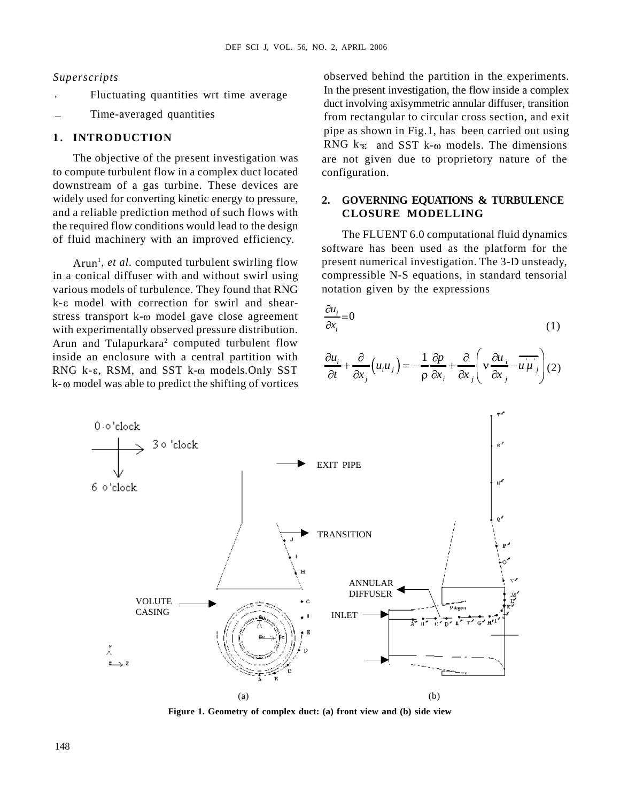- 'Fluctuating quantities wrt time average
- 

to compute turbulent flow in a complex duct located downstream of a gas turbine. These devices are widely used for converting kinetic energy to pressure, 2. and a reliable prediction method of such flows with CLOSURE MODELLING the required flow conditions would lead to the design of fluid machinery with an improved efficiency.

in a conical diffuser with and without swirl using various models of turbulence. They found that RNG  $k-\varepsilon$  model with correction for swirl and shearstress transport  $k-\omega$  model gave close agreement with experimentally observed pressure distribution. Arun and Tulapurkara<sup>2</sup> computed turbulent flow inside an enclosure with a central partition with RNG k- $\varepsilon$ , RSM, and SST k- $\omega$  models. Only SST  $k-\omega$  model was able to predict the shifting of vortices

*Superscripts* observed behind the partition in the experiments. Time-averaged quantities from rectangular to circular cross section, and exit The objective of the present investigation was are not given due to proprietory nature of the In the present investigation, the flow inside a complex duct involving axisymmetric annular diffuser, transition pipe as shown in Fig.1, has been carried out using RNG  $k_{\epsilon}$  and SST k- $\omega$  models. The dimensions Superscripts<br>
Superscripts<br>
Superscripts<br>
Superscripts<br>
Superscripts<br>
Superscripts<br>
Superscripts<br>
Superscripts<br>
Superscripts<br>
Superscripts<br>
Superscripts<br>
In the present investigation, the flow inside a complex<br>
duct involv configuration.

# **2. GOVERNING EQUATIONS & TURBULENCE CLOSURE MODELLING**

Arun<sup>1</sup>, et al. computed turbulent swirling flow present numerical investigation. The 3-D unsteady, The FLUENT 6.0 computational fluid dynamics software has been used as the platform for the compressible N-S equations, in standard tensorial notation given by the expressions

$$
\frac{\partial u_i}{\partial x_i} = 0 \tag{1}
$$

$$
\frac{\partial u_i}{\partial t} + \frac{\partial}{\partial x_j} (u_i u_j) = -\frac{1}{\rho} \frac{\partial p}{\partial x_i} + \frac{\partial}{\partial x_j} \left( v \frac{\partial u_i}{\partial x_j} - u \overline{u_j} \right) (2)
$$



**Figure 1. Geometry of complex duct: (a) front view and (b) side view**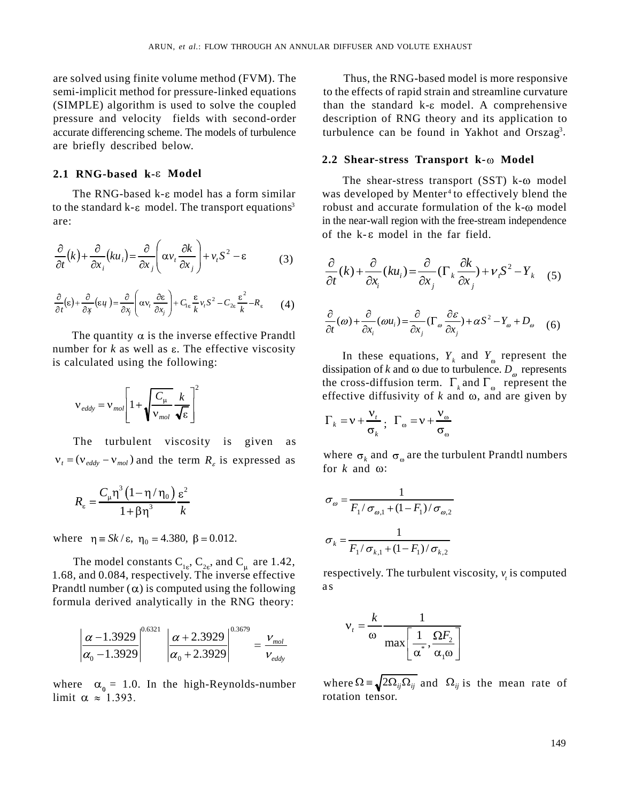are solved using finite volume method (FVM). The are briefly described below. ARUN, *et al.*: FLOW THROUGH AN ANNULAR DIFFUSER AND VOLUTE EXHAUST<br>
are solved using finite volume method (FVM). The Thus, the RNG-based model is more responsive<br>
semi-implicit method for pressure-linked equations to the

### **2.1 RNG-based k-ε Model**

$$
\frac{\partial}{\partial t}(k) + \frac{\partial}{\partial x_i}(ku_i) = \frac{\partial}{\partial x_j}\left(\alpha v_i \frac{\partial k}{\partial x_j}\right) + v_i S^2 - \epsilon
$$
\n(3)\n
$$
\frac{\partial}{\partial t}(k) + \frac{\partial}{\partial t}(ku_i) = \frac{\partial}{\partial t}(\Gamma_k \frac{\partial k}{\partial t}) + v_i S^2 - Y_k
$$
\n(5)

$$
\frac{\partial}{\partial t}(\varepsilon) + \frac{\partial}{\partial x}(\varepsilon u) = \frac{\partial}{\partial x} \left( \alpha v_t \frac{\partial \varepsilon}{\partial x_j} \right) + C_{1\varepsilon} \frac{\varepsilon}{k} v_t S^2 - C_{2\varepsilon} \frac{\varepsilon^2}{k} - R_{\varepsilon} \qquad (4) \qquad \qquad \frac{\partial}{\partial (v_t)} \frac{\partial}{\partial (v_t)} \frac{\partial}{\partial (v_t)} = \frac{\partial}{\partial (v_t)} \frac{\partial}{\partial (v_t)} \frac{\partial}{\partial (v_t)} \frac{\partial}{\partial (v_t)} \frac{\partial}{\partial (v_t)} \frac{\partial}{\partial (v_t)} \frac{\partial}{\partial (v_t)} \frac{\partial}{\partial (v_t)} \frac{\partial}{\partial (v_t)} \frac{\partial}{\partial (v_t)} \frac{\partial}{\partial (v_t)} \frac{\partial}{\partial (v_t)} \frac{\partial}{\partial (v_t)} \frac{\partial}{\partial (v_t)} \frac{\partial}{\partial (v_t)} \frac{\partial}{\partial (v_t)} \frac{\partial}{\partial (v_t)} \frac{\partial}{\partial (v_t)} \frac{\partial}{\partial (v_t)} \frac{\partial}{\partial (v_t)} \frac{\partial}{\partial (v_t)} \frac{\partial}{\partial (v_t)} \frac{\partial}{\partial (v_t)} \frac{\partial}{\partial (v_t)} \frac{\partial}{\partial (v_t)} \frac{\partial}{\partial (v_t)} \frac{\partial}{\partial (v_t)} \frac{\partial}{\partial (v_t)} \frac{\partial}{\partial (v_t)} \frac{\partial}{\partial (v_t)} \frac{\partial}{\partial (v_t)} \frac{\partial}{\partial (v_t)} \frac{\partial}{\partial (v_t)} \frac{\partial}{\partial (v_t)} \frac{\partial}{\partial (v_t)} \frac{\partial}{\partial (v_t)} \frac{\partial}{\partial (v_t)} \frac{\partial}{\partial (v_t)} \frac{\partial}{\partial (v_t)} \frac{\partial}{\partial (v_t)} \frac{\partial}{\partial (v_t)} \frac{\partial}{\partial (v_t)} \frac{\partial}{\partial (v_t)} \frac{\partial}{\partial (v_t)} \frac{\partial}{\partial (v_t)} \frac{\partial}{\partial (v_t)} \frac{\partial}{\partial (v_t)} \frac{\partial}{\partial (v_t)} \frac{\partial}{\partial (v_t)} \frac{\partial}{\partial (v_t)} \frac{\partial}{\partial (v_t)} \frac{\partial}{\partial (v_t)} \frac{\partial}{\partial (v_t)} \frac{\partial}{\partial (v_t)} \frac{\partial}{\partial
$$

The quantity  $\alpha$  is the inverse effective Prandtl number for  $k$  as well as  $\varepsilon$ . The effective viscosity is calculated using the following:

$$
v_{\text{eddy}} = v_{\text{mol}} \left[ 1 + \sqrt{\frac{C_{\mu}}{V_{\text{mol}}}} \frac{k}{\sqrt{\epsilon}} \right]^2
$$
\nthe cross distribution term:  $Y_k$  and  $\omega$ , and are given by  $\Gamma_k = v + \frac{V_t}{V_{\text{mol}}}$ .

The turbulent viscosity is given as  $v_t = (v_{eddy} - v_{mol})$  and the term  $R_{\varepsilon}$  is expressed as where  $\sigma_k$  and  $\sigma_k$ :

$$
R_{\varepsilon} = \frac{C_{\mu} \eta^3 \left(1 - \eta / \eta_0\right)}{1 + \beta \eta^3} \frac{\varepsilon^2}{k}
$$

where  $\eta = Sk/\varepsilon$ ,  $\eta_0 = 4.380$ ,  $\beta = 0.012$ .  $\sigma_k = \frac{1}{\Gamma(\varepsilon_0 - \mu_0)(1 - \Gamma(\varepsilon_0))}$ 

The model constants  $C_{1g}$ ,  $C_{2g}$ , and  $C_{\mu}$  are 1.42,  $, C_{2\varepsilon}$ , and  $C_{\mu}$  are 1.42, , and  $C_{\alpha}$  are 1.42,  $\arctan 1.42$ , 1.68, and 0.084, respectively. The inverse effective Prandtl number  $(\alpha)$  is computed using the following as formula derived analytically in the RNG theory:

$$
\left| \frac{\alpha - 1.3929}{\alpha_0 - 1.3929} \right|^{0.6321} \left| \frac{\alpha + 2.3929}{\alpha_0 + 2.3929} \right|^{0.3679} = \frac{v_{mol}}{v_{eddy}}
$$

limit  $\alpha \approx 1.393$ .

semi-implicit method for pressure-linked equations to the effects of rapid strain and streamline curvature (SIMPLE) algorithm is used to solve the coupled than the standard  $k-\epsilon$  model. A comprehensive pressure and velocity fields with second-order description of RNG theory and its application to accurate differencing scheme. The models of turbulence turbulence can be found in Yakhot and Orszag<sup>3</sup>. **141** Contact the matter of excellent particles in the sequence of the state of the state of the state in the state of the state of the state of the state of the state of the state of the state of the state of the state o axis,  $\alpha = -1.08$  viential (1.89 KV) at mesopra con various extra particular contradiction in the set of the contradiction in the set of the set of the set of the set of the set of the set of the set of the set of the set 4.392,  $\omega$  and (Find the media CFVM). The CFVM distribution is the exploration of the continent of the state of the state of the state in the state of the state of the state of the state of the state of the state of the Thus, the RNG-based model is more responsive . IFFUSER AND VOLUTE EXHAUST<br>
Thus, the RNG-based model is more responsive<br>
the effects of rapid strain and streamline curvature<br>
in the siand  $\lambda$  and  $\lambda$  complete  $\lambda$  complements<br>
originon of RNG theory and its applicat **EVERIR AND VOLUTE EXILATST**<br>
Thus, the RNG-based model is more responsive<br>
the studded k-s model. A comprehensive<br>
the studded k-s model. A comprehensive<br>
theoretic of RNG theory and its application to<br>
submer-tores cran DIFFUSER AND VOLUTE EXHAUST<br>
Thus, the RNG-based model is more responsive<br>
the effects of rapid strain and streamline curvature<br>
an the standard k-sc model. A comprehensive<br>
seription of RNG theory and its application to<br> DIPERSIC ASD VOLUTE EXHAUST<br>
Thus, the RNG-based model is more responsive<br>
the effects of rapid strain and streamline curvature<br>
in the standard k<sub>x</sub> model. A comprehensive<br>
toricition of RNG theory and its application to **u** *s* Youth is that and straining the straining curve and is the fractional streamline curvature fraction to **RNG** theory and its application to **n B Example in RNG** theory and its application to **n b** from the fr DIFFUSIR AND VOLUTE EXIRETS<br>
Thus, the RNG-based model is more responsive<br>
the effects of rapid strain and streamline curvature<br>
into the studient k-s- model. A comprehensive<br>
sestription of RNG theory and its application a particular AND volume Existency<br>
Thus, the RNG-based model is more responsive<br>
to the effects of rapid strain and streamline curvature<br>
than the samplest description of RNG theory and its application to<br>
description of USER AND VOLUTE EXHAUST<br>
thus, the RNG-hased model is more responsive<br>
fielfects of rapid strain and streamline curvature<br>
the standard k-c model. A comprehensive<br>
their standard H-standard Sexage.<br> **there**-stress **Transp** 

### **2.2 Shear-stress Transport k-** $\omega$  **Model**

The RNG-based  $k$ - $\varepsilon$  model has a form similar was developed by Menter<sup>4</sup> to effectively blend the to the standard k- $\varepsilon$  model. The transport equations<sup>3</sup> robust and accurate formulation of the k- $\omega$  model are: in the near-wall region with the free-stream independence The shear-stress transport  $(SST)$  k- $\omega$  model of the  $k - \varepsilon$  model in the far field.

$$
\frac{\partial}{\partial t}(k) + \frac{\partial}{\partial x_i}(ku_i) = \frac{\partial}{\partial x_j}\left(\alpha v_i \frac{\partial}{\partial x_j}\right) + v_i S^2 - \varepsilon
$$
\n(3)\n
$$
\frac{\partial}{\partial t}(k) + \frac{\partial}{\partial x_i}(ku_i) = \frac{\partial}{\partial x_j}(\Gamma_k \frac{\partial k}{\partial x_j}) + v_i S^2 - Y_k
$$
\n(5)\n
$$
\frac{\partial}{\partial t}(k) + \frac{\partial}{\partial x_i}(ku_i) = \frac{\partial}{\partial x_j}(\Gamma_k \frac{\partial k}{\partial x_j}) + v_i S^2 - Y_k
$$
\n(6)\n
$$
\frac{\partial}{\partial t}(k) + \frac{\partial}{\partial x_i}(ku_i) = \frac{\partial}{\partial x_j}(\Gamma_k \frac{\partial k}{\partial x_j}) + v_i S^2 - Y_k
$$

$$
\frac{\partial}{\partial t}(\omega) + \frac{\partial}{\partial x_i}(\omega u_i) = \frac{\partial}{\partial x_i}(\Gamma_\omega \frac{\partial \varepsilon}{\partial x_j}) + \alpha S^2 - Y_\omega + D_\omega \quad (6)
$$
  
by  $\alpha$  is the inverse effective Prandtl

the cross-diffusion term.  $\Gamma_k$  and  $\Gamma_{\omega}$  represent the  $C_{\mu}$  *k* | effective diffusivity of *k* and  $\omega$ , and are given by In these equations,  $Y_k$  and  $Y_{\omega}$  represent the and  $Y_{\alpha}$  represent the dissipation of *k* and  $\omega$  due to turbulence.  $D_{\omega}$  represents represent the

$$
\Gamma_k = v + \frac{v_t}{\sigma_k}; \ \ \Gamma_\omega = v + \frac{v_\omega}{\sigma_\omega}
$$

where  $\sigma_k$  and  $\sigma_{\omega}$  are the turbulent Prandtl numbers for  $k$  and  $\omega$ :

$$
R_{\varepsilon} = \frac{C_{\mu} \eta^{3} (1 - \eta / \eta_{0}) \varepsilon^{2}}{1 + \beta \eta^{3}} \frac{\varepsilon^{2}}{k}
$$
\n
$$
\sigma_{\omega} = \frac{1}{F_{1} / \sigma_{\omega,1} + (1 - F_{1}) / \sigma_{\omega,2}}
$$
\nor

\n
$$
\eta = Sk / \varepsilon, \ \eta_{0} = 4.380, \ \beta = 0.012.
$$
\n
$$
\sigma_{k} = \frac{1}{F_{1} / \sigma_{k,1} + (1 - F_{1}) / \sigma_{k,2}}
$$

respectively. The turbulent viscosity,  $v<sub>i</sub>$  is computed is computed

$$
v_{t} = \frac{k}{\omega} \frac{1}{\max\left[\frac{1}{\alpha^{*}}, \frac{\Omega F_{2}}{\alpha_{1} \omega}\right]}
$$

where  $\alpha_0 = 1.0$ . In the high-Reynolds-number where  $\Omega = \sqrt{2\Omega_{ij}\Omega_{ij}}$  and  $\Omega_{ij}$  is the mean rate of rotation tensor.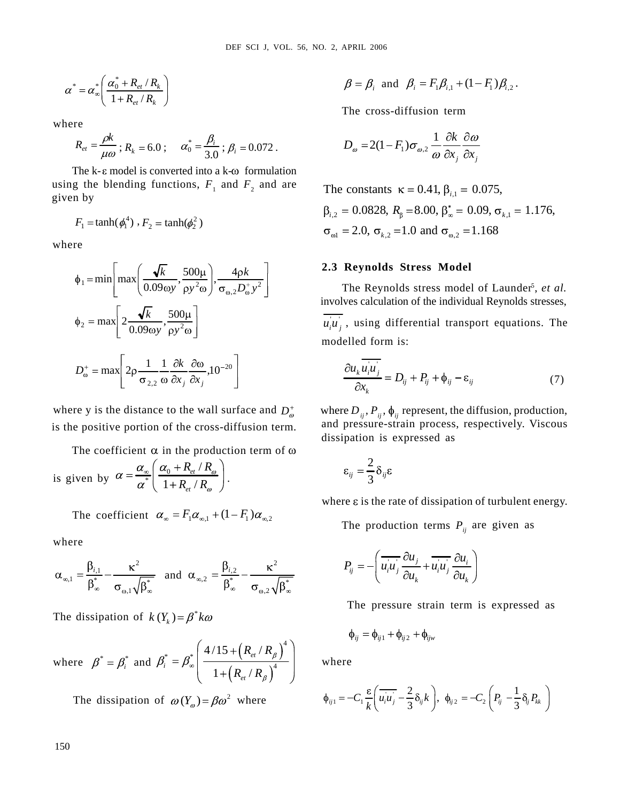$$
\alpha^* = \alpha_{\infty}^* \bigg( \frac{\alpha_0^* + R_{et} / R_k}{1 + R_{et} / R_k} \bigg) \qquad \beta = \beta_i \text{ and } \beta_i = F_i \beta_{i,1} + (1 - F_i) \beta_{i,2}.
$$

where the contract of the contract of the contract of the contract of the contract of the contract of the contract of the contract of the contract of the contract of the contract of the contract of the contract of the cont

$$
R_{et} = \frac{\rho k}{\mu \omega}; R_k = 6.0; \quad \alpha_0^* = \frac{\beta_i}{3.0}; \beta_i = 0.072. \qquad D_{\omega} = 2(1 - F_1)\sigma_{\omega,2} \frac{1}{\omega} \frac{\partial k}{\partial x_i} \frac{\partial \omega}{\partial x_i}
$$

The k- $\varepsilon$  model is converted into a k- $\omega$  formulation using the blending functions,  $F_1$  and  $F_2$  and are<br>The constants  $\kappa = 0.41$ ,  $\beta_{i,1} = 0.075$ , given by given by  $\sum_{i=1}^{\infty}$  substants  $\sum_{i=1}^{\infty}$  substants  $\sum_{i=1}^{\infty}$  for  $\sum_{i=1}^{\infty}$ 

$$
F_1 = \tanh(\phi_1^4) \cdot F_2 = \tanh(\phi_2^2)
$$

where the contract of the contract of the contract of the contract of the contract of the contract of the contract of the contract of the contract of the contract of the contract of the contract of the contract of the cont

$$
a' = a'_* \left( \frac{a'_0 + R_{\alpha}/R_k}{1 + R_{\alpha}/R_k} \right)
$$
\n
$$
a' = a'_* \left( \frac{a'_0 + R_{\alpha}/R_k}{1 + R_{\alpha}/R_k} \right)
$$
\nwhere\n
$$
R_n = \frac{\rho}{\mu\omega}; R_1 = 6.0; \quad a'_0 = \frac{R}{30}; \beta, = 0.072.
$$
\n
$$
P_n = 2(1 - F_1)\sigma_{\omega,2} \frac{1}{\omega} \frac{\partial k}{\partial x_j} \frac{\partial \omega}{\partial x_j}
$$
\nThe cross-diffusion term\n
$$
R_n = \frac{\rho}{\mu\omega}; R_1 = 6.0; \quad a'_0 = \frac{R}{30}; \beta, = 0.072.
$$
\n
$$
P_n = 2(1 - F_1)\sigma_{\omega,2} \frac{1}{\omega} \frac{\partial k}{\partial x_j} \frac{\partial \omega}{\partial x_j}
$$
\nThe second is converted into a k-to-formulation\n
$$
B_{12} = 0.0528, R_n = 8.00, P_n^* = 0.075.
$$
\n
$$
P_{13} = 0.075, \quad B_{12} = 0.075, \quad B_{13} = 0.075.
$$
\nwhere\n
$$
\phi_1 = \min \left[ \max \left( \frac{\sqrt{k}}{0.09\omega}, \frac{500\mu}{py^2\omega} \right) \right] \frac{4\rho k}{\sigma_{11/2}P_{23/2}} \right]
$$
\n
$$
2.3 \text{ Reynolds stress}
$$
\n
$$
\phi_2 = \max \left[ 2\frac{\sqrt{k}}{0.09\omega}, \frac{500\mu}{py^2\omega} \right]
$$
\n
$$
2.4 \text{ Reynolds stress}
$$
\n
$$
\phi_3 = 1.168
$$
\n
$$
\phi_4 = \min \left[ \max \left( \frac{\sqrt{k}}{0.09\omega}, \frac{500\mu}{py^2\omega} \right) \right]
$$
\n
$$
2.5 \text{ Reynolds stress}
$$
\n
$$
\phi_2 = \max \left[ 2\frac{\rho}{0.09\omega}, \frac{4\rho k}{py^2\omega} \right]
$$
\n
$$
2
$$

is the positive portion of the cross-diffusion term.

The coefficient  $\alpha$  in the production term of  $\omega$ 

is given by  $\alpha = \frac{\alpha_{\infty}}{\alpha^*} \left( \frac{\alpha_0 + R_{\text{et}}/R_{\omega}}{1 + R_{\text{et}}/R_{\omega}} \right)$ .  $\epsilon_{ii} = -\delta_{ii}\epsilon$  $*$   $\begin{array}{ccc} 1 & \mathbf{D} & \mathbf{D} \end{array}$  .

where the contract of the contract of the contract of the contract of the contract of the contract of the contract of the contract of the contract of the contract of the contract of the contract of the contract of the cont

$$
\alpha_{\infty,1} = \frac{\beta_{i,1}}{\beta_{\infty}^*} - \frac{\kappa^2}{\sigma_{\infty,1}\sqrt{\beta_{\infty}^*}} \text{ and } \alpha_{\infty,2} = \frac{\beta_{i,2}}{\beta_{\infty}^*} - \frac{\kappa^2}{\sigma_{\infty,2}\sqrt{\beta_{\infty}^*}} \qquad P_{ij} = -\left(u_i u_j \frac{\sigma u_j}{\partial u_k} + u_i u_j \frac{\sigma u_i}{\partial u_k}\right)
$$

The dissipation of  $k(Y_k) = \beta^* k\omega$ 

where 
$$
\beta^* = \beta_i^*
$$
 and  $\beta_i^* = \beta_{\infty}^* \left( \frac{4/15 + (R_{et}/R_{\beta})^4}{1 + (R_{et}/R_{\beta})^4} \right)$  where

The dissipation of  $\omega(Y_{\phi}) = \beta \omega^2$  where

$$
{}_{*} = \alpha^{*} \left( \frac{\alpha_{0}^{*} + R_{et} / R_{k}}{\alpha_{0}^{*} + R_{et} / R_{k}} \right) \qquad \beta = \beta_{i} \text{ and } \beta_{i} = F_{1} \beta_{i,1} + (1 - F_{1}) \beta_{i,2} \, .
$$

$$
\therefore \quad \alpha_0^* = \frac{\beta_i}{3.0} \, ; \, \beta_i = 0.072 \, . \qquad \qquad D_\omega = 2(1 - F_1)\sigma_{\omega,2} \, \frac{1}{\omega} \frac{\partial k}{\partial x_j} \frac{\partial \omega}{\partial x_j}
$$

 $F_1 = \tanh(\phi_1^4)$ ,  $F_2 = \tanh(\phi_2^2)$   $F_1 = 2.0 \text{ or } -1.0 \text{ and } -1.168$  $F_2 = \tanh(\phi_2^2)$  **F**<sub>2</sub> = tanh( $\phi_2^2$ ) **F**<sub>2</sub> = 2.0 **F**<sub>2</sub> = 1.0 and **F**<sub>2</sub> = 1.168  $,1 - 0.073,$  $\lambda_{i,2} = 0.0828, R_{\beta} = 8.00, \beta_{\infty}^* = 0.09, \sigma_{k,1} = 1.176,$  $V_1$  – 2.0,  $V_{k,2}$  – 1.0 and  $V_{\omega,2}$  – 1.100  $i_{,1} = 0.073,$ 

### $4 \rho k$  2.5 keynolds stress model  $k$  | 2.5 keynolus sitess model **2.3 Reynolds Stress Model**

 $\frac{1-\min\left(\max\left(\frac{1}{0.09\omega y}, \frac{1}{\rho y^2 \omega}\right), \frac{1}{\sigma_{\omega,2} D_{\omega}^+ y^2}\right)}{\sigma_{\omega,2} D_{\omega}^+ y^2}$  The Reynolds stress model of Launder<sup>5</sup>, *et al.*  $u_i u_j$ , using differential transport equations. The  $500\mu$  $u_i u_j$ , using differential transport equations. The  $u_i u_j$ , using differential transport equations. The  $\max\left[2\frac{\sqrt{n}}{2\cos\theta}, \frac{3\cos\mu}{2}\right]$   $\mu\mu$ , using differential transport equations. The  $y' \rho y^2 \omega$   $y'' \rho y^2 \omega$  $k = 500\mu$ 1699 Kert *L*, vot. s. no. 2 separations<br>  $f = \beta$ , and  $\beta_i = F_i\beta_{i,j} - (1 - F_i)\beta_i$ ,<br>
The cross-diffusion term<br>  $\alpha_i = \frac{\beta_i}{2\beta_i}$ ;  $\beta_i = 0.072$ ,<br>  $D_x = 2(1 - F_i)\sigma_{xy} - 1 - F_i\gamma\beta_x$ <br>  $\alpha_i = 2D_i$ ,  $\alpha_{xy} = \frac{1}{2}\alpha_i$ <br>  $\alpha_{xy} = 2D_i$ <br>  $\alpha_{xy}$ (**b** B sq 1, vec. 8, 80, 1, APRIL 268<br>
(**b** B sq + *f*, *β* - *f*, *θ* + *f*, *β*<sub>*x*</sub> - (**l** - *f*, *l b*<sub>*x*</sub><br>
(**b** - *k* + *β* + *k*<sup></sup> + *k*<sup></sup> + *k*<sup></sup> + *k*<sup></sup> + *k*<sup></sup> + *k*<sup></sup> + *k*<sup></sup> + *k*<sup></sup> + *k*<sup></sup> + *k*<sup></sup> + *k*<sup></sup> (30) set *x* vot. *x*(*x*) 2. APOL 30)<br> *k y k k y* <sup>1</sup> *x k k x y* <sup>1</sup> *k k y* <sup>2</sup> *k k k y* <sup>2</sup> *k k k y k k y k y k y k y k y k y k y k y k y k* For set 1, viol. on, viol. 4, viol. on<br>  $f = f(-\frac{\delta}{\delta\alpha} + \delta, \delta)$ . The cross-distinction term<br>  $\therefore a_0^2 = \frac{\delta}{\delta\alpha} + \delta, \delta = 0.072$ .<br>  $a_0^2 = \frac{\delta}{\delta\alpha} + \delta, \delta = 0.072$ .<br>  $D_x = 2(1 - F_1)F_x$ ,  $\frac{1}{\alpha} \frac{\delta}{\delta\alpha}$ ,  $\frac{\delta}{\delta\alpha}$ ,<br>
ve ore  $x(x) = \frac{1}{2}$ .  $\therefore \beta_1 = 0.02$ .<br>  $\beta = \beta_1$  and  $\beta_1 = F_1 \beta_0 + (1 - F_1) \beta_1$ .<br>
The cross-diffusion term<br>  $F_1$  and  $F_2$  and  $\alpha = 0.02$ .<br>  $\beta_1 = 0.02$ .<br>  $\beta_2 = 0.0828$ .  $\beta_1 = 8.001$ ,  $\beta_2 = 0.0925$ ,  $\beta_1 = 0.075$ ,<br>  $\beta_$ Dia 36.1, VOL 56. 30. 2, Aviat. 396<br>  $\beta = \beta_1$  and  $\beta_1 = F_1\beta_{11}$  (1- $F_1\beta_{12}$ )<br>
The cross-diffusion term<br>  $\frac{1}{\alpha_1}$ ,  $\beta_1 = 0.0172$ .<br>  $D_n = 2(1 - F_1)\sigma_{n1} = \frac{1}{\alpha_1} \frac{\partial F_1}{\partial x_2}$ <br>
a.k-o formulation<br>  $\frac{1}{\alpha_1}$ 199 str 1, Vot. 36, Vot. 3, Vot. 3, 2001<br> *i et*<sub>n</sub> *et*<sub>n</sub> *i et*<sub>n</sub> *i et*<sub>n</sub> *i et*<sub>n</sub> *i et*<sub>n</sub> *i et*<sub>n</sub> *i et*<sub>n</sub> *i et*<sub>n</sub> *i et*<sub>0</sub><br> **i** *et*<sub>0</sub> *et*<sub>2</sub> *et*<sub>2</sub> *et*<sub>2</sub> *et*<sub>2</sub> *et*<sub>2</sub> *et*<sub>2</sub> 27 8(1), VOL. 39, NO. 2, APRIL 200<br>  $\beta = \beta_1$  and  $\beta_1 = F_1\beta_{d_1}$  -  $(1 - F_1)\beta_{d_2}$ .<br>
The cross-diffusion term<br>  $P_n = 2(1 - F_1)\sigma_{u_1} + \frac{2\Re}{\delta u_1} \frac{\partial \phi}{\partial x_1} \frac{\partial \phi}{\partial x_2}$ <br>
fo formulation<br>  $F_2$  and are **The constants DIF** SCI *N* YOL. 56 NO 2, APRIL 3006<br>  $\beta = \beta_1$  and  $\beta_1 = I(\beta_1 + 1)I(\beta_2 + 1)$ <br>
The cross-diffusion term<br>  $\alpha_2' = \frac{\beta_1}{2\beta_1}$ ,  $\beta_1 = 10/72$ ,<br>  $D_a = 2(1 - F_1)\sigma_{a,2} = \frac{1}{\alpha_1} \frac{\partial \phi}{\partial x_1}$ ,  $\frac{\partial \phi}{\partial x_2}$ <br>
(a)  $\alpha_2' = \$ *i* and  $\beta_i = F_i \beta_{i,1} + (1 - F_i) \beta_{i,2}$ .<br>
The cross-diffusion term<br>  $D_{\omega} = 2(1 - F_i) \sigma_{\omega,2} \frac{1}{\omega} \frac{\partial k}{\partial x_i} \frac{\partial \omega}{\partial x_j}$ <br>
constants  $\kappa = 0.4$ ,  $\beta_{i,1} = 0.075$ ,<br>  $= 0.0828$ ,  $R_p = 8.00$ ,  $\beta_{\kappa} = 0.09$ ,  $\sigma_{k,1} = 1.176$  $\beta_i = F_i \beta_{i,1} + (1 - F_i) \beta_{i,2}$ .<br>
if fusion term<br>  $\int \sigma_{\omega,2} \frac{1}{\omega} \frac{\partial k}{\partial x_j} \frac{\partial \omega}{\partial x_j}$ <br>  $\zeta = 0.41$ ,  $\beta_{i,1} = 0.075$ ,<br>  $\beta = 8.00$ ,  $\beta_{i,2}^* = 0.09$ ,  $\sigma_{i,1} = 1.176$ ,<br>
1.0 and  $\sigma_{\omega,2} = 1.168$ <br> **Stress Model**<br>
as 2006<br>
2, and  $\beta_i = F_i \beta_{i,1} + (1 - F_i) \beta_{i,2}$ ,<br>
ross-diffusion term<br>
2(1- $F_i \rightarrow \sigma_{\varphi,2} \frac{1}{\omega} \frac{\partial k}{\partial x_j} \frac{\partial \omega}{\partial x_j}$ <br>
tants  $\kappa = 0.41$ ,  $\beta_{i,1} = 0.075$ ,<br>
228,  $R_b = 8.00$ ,  $\beta_x^* = 0.09$ ,  $\sigma_{x,1} = 1.176$ ,<br>  $\sigma_{x,2} = 1.0$ +  $(1 - F_1)\beta_{i,2}$ .<br>
m<br>  $\frac{\partial \omega}{\partial x_j}$ <br>
= 0.075,<br>
= 0.09,  $\sigma_{k,1}$  = 1.176,<br>  $_2$  = 1.168<br>
del<br>
del of Launder<sup>5</sup>, *et al.*<br>
vidual Reynolds stresses,<br>
nnsport equations. The<br>  $-\varepsilon_{ij}$  (7)<br>
e diffusion, production,<br>
resp **EXECUTE:**<br>  $\beta = \beta_i$  and  $\beta_i = F_i \beta_{i,1} + (1 - F_i) \beta_{i,2}$ .<br>
The cross-diffusion term<br>  $D_{\omega} = 2(1 - F_i) \sigma_{\omega,2} \frac{1}{\omega} \frac{\partial k}{\partial x_j} \frac{\partial \omega}{\partial x_j}$ <br>
constants  $\kappa = 0.41$ ,  $\beta_{i,1} = 0.075$ ,<br>  $= 0.0828$ ,  $R_p = 8.00$ ,  $\beta_{\kappa}^* = 0.0$  $x_1 + (1 - F_1)\beta_{i,2}$ .<br> *x*<sub>*x*</sub>,  $\frac{\partial \omega}{\partial x_j}$ <br> *x*<sub>*x*</sub>,  $\frac{\partial \omega}{\partial x_j}$ <br> *x*<sub>*x*</sub> = 0.09,  $\sigma_{k,1}$  = 1.176,<br> **odel**<br> **odel**<br> **odel**<br> **odel**<br> **odel**<br> **odel**<br> **odel**<br> **odel**<br> **odel**<br> **odel**<br> **odel**<br> **odel**<br> **odel**<br> **odel** 1. 2. APRIL 2006<br>  $\beta = \beta$ , and  $\beta_1 = F_1\beta_{i,1} + (1 - F_1)\beta_{i,2}$ .<br>
The cross-diffusion term<br>  $D_w = 2(1 - F_1)\sigma_{w,2} \frac{1}{\omega} \frac{\partial k}{\partial x_j} \frac{\partial \omega}{\partial x_j}$ <br>
The constants  $\kappa = 0.41$ ,  $\beta_{i,1} = 0.075$ ,<br>  $\beta_{i,2} = 0.0828$ ,  $R_p = 8.00$ , RET 2006<br>  $= \beta_i$  and  $\beta_i = F_i \beta_{i,1} + (1 - F_i) \beta_{i,2}$ ,<br>  $=$  cross-diffusion term<br>  $\omega = 2(1 - F_i) \sigma_{\omega,2} \frac{1}{\omega} \frac{\partial K}{\partial x_j} \frac{\partial \omega}{\partial x_j}$ <br>
constants  $\kappa = 0.41$ ,  $\beta_{i,1} = 0.075$ ,<br>  $0.0828$ ,  $R_i = 8.00$ ,  $\beta_i = 0.09$ ,  $\sigma_{k,1} = 1$ RET 2006<br>  $= \beta_i$  and  $\beta_i = F_i \beta_{i,1} + (1 - F_i) \beta_{i,2}$ ,<br>  $= \cos s \text{-diffusion term}$ <br>  $w = 2(1 - F_i) \sigma_{m,2} \frac{1}{\omega} \frac{\partial k}{\partial x_j} \frac{\partial \omega}{\partial x_j}$ <br>
constants  $\kappa = 0.41$ ,  $\beta_{i,1} = 0.075$ ,<br>  $0.0828$ ,  $R_p = 8.00$ ,  $\beta_p = 0.09$ ,  $\sigma_{k,1} = 1.176$ ,<br>  $2.0$ , *et al.* involves calculation of the individual Reynolds stresses, : 2. APRIL 2006<br>  $\beta = \beta$ , and  $\beta_1 = F_1 \beta_{2,1} + (1 - F_1) \beta_{2,2}$ .<br>
The cross-diffusion term<br>  $D_{\mu} = 2(1 - F_1) \sigma_{\nu 2} \frac{1}{\omega} \frac{\partial k}{\partial x_1} \frac{\partial \omega}{\partial y_2}$ <br>
The constants  $\kappa = 0.41$ ,  $B_{\nu 1} = 0.075$ ,<br>  $B_{\nu 2} = 0.0828$ ,  $R_{\psi$ modelled form is: 11. 2006<br>  $B_r$  and  $\beta_r = F_i \beta_{r,s} + (1 - F_i) \beta_{r,s}$ .<br>
c cross-diffusion term<br>  $= 2(1 - F_i)\sigma_{\omega,2} \frac{1}{\omega} \frac{\partial k}{\partial x_j} \frac{\partial \omega}{\partial x_j}$ <br>
mstants  $\kappa = 0.41$ ,  $\beta_{r,s} = 0.075$ ,<br>  $\beta_r = 8.00$ ,  $\beta_{\omega}^* = 0.09$ ,  $\sigma_{s,s} = 1.176$ ,<br>  $\beta_r = 1.0$  $\beta_i = F_i \beta_{i,j} + (1 - F_i) \beta_{i,j}$ .<br>
ffusion term<br>
ffusion term<br>  $j \sigma_{m2} \frac{1}{\omega} \frac{\partial k}{\partial x_j} \frac{\partial \omega}{\partial x_j}$ <br>  $\equiv 0.41, \beta_{i,j} = 0.075,$ <br>  $= 8.00, \beta_{\omega}^* = 0.09, \sigma_{k,j} = 1.176,$ <br>
1.0 and  $\sigma_{m2} = 1.168$ <br>
Stresss Model<br>
stresss model o w.n. 2008<br> *u* = *β*<sub>*i*</sub> and *β*<sub>*i*</sub> = *F*<sub>*i*</sub>*β*<sub>*i*</sub> + (1 – *F*<sub>*i*</sub>)*B*<sub>*i*</sub> -<br> *u* = 2(1 – *F*<sub>*i*</sub>) $\sigma_{\mu}$  =  $\frac{1}{\omega} \frac{\partial \hat{x}}{\partial x}$ ,  $\frac{\partial \omega}{\partial x}$ <br>
constants  $\kappa = 0.41$ ,  $β_{i,i} = 0.075$ ,<br>
0.0828, *R*<sub>*g*</sub> = 8.00 *d*  $\beta_i = F_i \beta_{i,1} + (1 - F_i) \beta_{i,2}$ .<br>
diffusion term<br>  $F_i$ ) $\sigma_{m,2} \frac{1}{\omega} \frac{\partial k}{\partial x_i} \frac{\partial \omega}{\partial x_j}$ <br>  $\kappa = 0.41$ ,  $\beta_{i,1} = 0.075$ ,<br>  $\kappa_p = 8.00$ ,  $\beta_{i} = 0.09$ ,  $\sigma_{i,1} = 1.176$ ,<br>  $= 1.0$  and  $\sigma_{m,2} = 1.168$ <br>
Stress Model rent 2006<br> *i* = *β*, and *β*<sub>i</sub> = *F*<sub>i</sub>*β*<sub>i4</sub> + (1 - *F*<sub>i</sub>)*β*<sub>i2</sub>.<br>
he cross-diffusion term<br>  $D_{\omega} = 2(1 - F_1) \sigma_{\omega,3} \frac{1}{\omega} \frac{\partial k}{\partial x_j} \frac{\partial \omega}{\partial x_j}$ <br>
constants  $x = 0.41$ ,  $β_{i,j} = 0.075$ ,<br>
0.0828,  $R_{\mu} = 8.00$ ,  $β_{$ nd  $\beta_1 = F_1 \beta_{i,1} + (1 - F_1) \beta_{i,2}$ .<br>
S-diffusion term<br>  $-F_1) \sigma_{\omega,2} \frac{1}{\omega} \frac{\partial k}{\partial x_1} \frac{\partial \omega}{\partial x_2}$ <br>  $s \le 0.041$ ,  $\beta_{i,1} = 0.075$ ,<br>  $R_k = 8.00$ ,  $\beta_z^* = 0.09$ ,  $\sigma_{i,1} = 1.176$ ,<br>  $R_k = 8.00$ ,  $\beta_z^* = 0.09$ ,  $\sigma_{i,1} = 1$ **i**ch 2008<br> *i* =  $\beta_i$  and  $\beta_i = F_i \beta_{i,1} + (1 - F_i) \beta_{i,2}$ .<br> **he** cross-diffusion term<br>  $\partial_{\mu} = 2(1 - F_i) \sigma_{\mu,3} \frac{1}{\omega} \frac{\partial k}{\partial x_i} \frac{\partial \omega}{\partial x_j}$ <br>
constants  $x = 0.41$ ,  $\beta_{i,1} = 0.075$ ,<br>
0.0828,  $R_5 = 8.00$ ,  $\beta_6^* = 0.09$ **FRIT:** 2006<br>  $\beta = \beta$ , and  $\beta_i = F_i \beta_{i,1} + (1 - F_i) \beta_{i,2}$ .<br>
The cross-diffusion term<br>  $D_m = 2(1 - F_i) \sigma_{m,2} \frac{1}{\omega} \frac{\partial k}{\partial x_i} \frac{\partial \omega}{\partial x_j}$ <br>
constants  $\kappa = 0.41$ ,  $\beta_{i,1} = 0.075$ ,<br>  $= 0.0828$ ,  $R_p = 8.00$ ,  $\beta_a = 0.09$ ,  $\sigma_{$  $\theta_i = F_i \beta_{i,1} + (1 - F_i) \beta_{i,2}$ .<br>
fusion term<br>  $\sigma_{\omega,2} \frac{1}{\omega} \frac{\partial k}{\partial x_j} \frac{\partial \omega}{\partial x_j}$ <br>  $= 0.41, \beta_{i,1} = 0.075,$ <br>  $= 8.00, \beta_{\omega}^* = 0.09, \sigma_{\chi,1} = 1.176,$ <br>
0 and  $\sigma_{\omega,2} = 1.168$ <br>
reass model<br>
reass model of Launder<sup>2</sup>, err. 2006<br> *i P*, and  $\beta_1 = F_1 \beta_{1,1} + (1 - F_1) \beta_{1,2}$ .<br>
e cross-diffusion term<br>  $\kappa = 2(1 - F_1)\sigma_{\sigma,2} \frac{1}{\omega} \frac{\partial k}{\partial x_j} \frac{\partial \omega}{\partial x_j}$ <br>
mostants  $\kappa \in 0.41$ ,  $\beta_{1,1} = 0.075$ ,<br>
mostants  $\kappa = 0.41$ ,  $\beta_{1,2} = 0.09$ ,  $\$ 2. APRI. 2006<br>  $\beta = \beta$ , and  $\beta$ ,  $= F_1 \beta_{i,1} + (1 - F_1) \beta_{i,2}$ .<br>
The cross-diffusion term<br>  $D_{\omega} = 2(1 - F_1) \sigma_{\omega,2} \frac{1}{\omega} \frac{\partial k}{\partial x_j} \frac{\partial \omega}{\partial x_j}$ <br>
2. enconstants  $\kappa = 0.41$ ,  $\beta_{i,1} = 0.075$ ,<br>  $\kappa = 0.0828$ ,  $R_i = 8.00$ **2.** APRL 2006<br>  $\beta = \beta_i$  and  $\beta_i = F_i \beta_{i,j} + (1 - F_i) \beta_{i,j}$ .<br>
The cross-diffusion term<br>  $D_w = 2(1 - F_i) \sigma_{w,2} \frac{1}{\omega} \frac{\partial k}{\partial x_j} \frac{\partial \phi}{\partial x_j}$ <br>
the constants  $\kappa = 0.41$ ,  $\beta_{i,j} = 0.075$ ,<br>  $i_{i,j} = 0.0828$ ,  $R_p = 8.00$ ,  $\beta_k = 0.0$ 

$$
D_{\omega}^{+} = \max \left[ 2\rho \frac{1}{\sigma_{2,2}} \frac{1}{\omega} \frac{\partial k}{\partial x_j} \frac{\partial \omega}{\partial x_j}, 10^{-20} \right]
$$
\n
$$
\frac{\partial u_k \overline{u_i u_j}}{\partial x_k} = D_{ij} + P_{ij} + \phi_{ij} - \varepsilon_{ij}
$$
\n(7)

where y is the distance to the wall surface and  $D_{\omega}^+$  where  $D_{ij}$ ,  $P_{ij}$ ,  $\phi_{ij}$  represent, the diffusion, production, and pressure-strain process, respectively. Viscous dissipation is expressed as

$$
\left. \frac{\partial}{\partial R} \right|_{\mathcal{E}} = \frac{2}{3} \delta_{ij} \varepsilon
$$

where  $\varepsilon$  is the rate of dissipation of turbulent energy.

The production terms  $P_{ij}$  are given as

$$
P_{ij} = -\left(\overline{u_i u_j}\frac{\partial u_j}{\partial u_k} + \overline{u_i u_j}\frac{\partial u_i}{\partial u_k}\right)
$$

The pressure strain term is expressed as

$$
\Phi_{ij} = \Phi_{ij1} + \Phi_{ij2} + \Phi_{ijw}
$$

where  $\blacksquare$ 

$$
\phi_{ij1} = -C_1 \frac{\varepsilon}{k} \left( \overline{u_i u_j} - \frac{2}{3} \delta_{ij} k \right), \ \ \phi_{ij2} = -C_2 \left( P_{ij} - \frac{1}{3} \delta_{ij} P_{kk} \right)
$$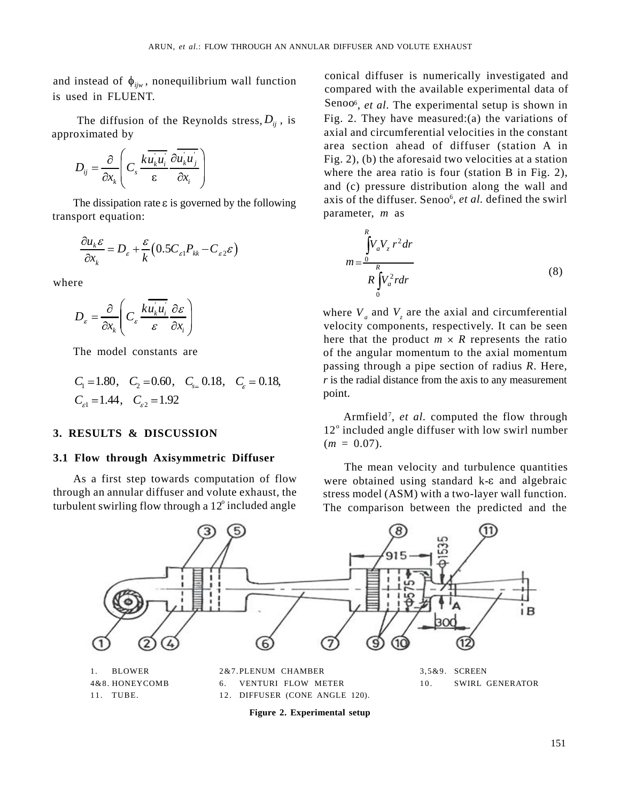and instead of  $\phi_{ijw}$ , nonequilibrium wall function

The diffusion of the Reynolds stress,  $D_{ij}$ , is

$$
D_{ij} = \frac{\partial}{\partial x_k} \left( C_s \frac{k u_k u_i}{\epsilon} \frac{\partial u_k u_j}{\partial x_i} \right)
$$

The dissipation rate  $\varepsilon$  is governed by the following axis of the diffuse<br>sport equation: parameter, m as transport equation:

$$
\frac{\partial u_k \varepsilon}{\partial x_k} = D_{\varepsilon} + \frac{\varepsilon}{k} \big( 0.5 C_{\varepsilon 1} P_{kk} - C_{\varepsilon 2} \varepsilon \big)
$$

$$
D_{\varepsilon} = \frac{\partial}{\partial x_k} \left( C_{\varepsilon} \frac{k \overrightarrow{u_k u_i}}{\varepsilon} \frac{\partial \varepsilon}{\partial x_i} \right)
$$

$$
C_1 = 1.80
$$
,  $C_2 = 0.60$ ,  $C_{s=} 0.18$ ,  $C_{\varepsilon} = 0.18$ ,  $r$  is the radial distance from the axis to any measurement point.

# **3.1 Flow through Axisymmetric Diffuser**

turbulent swirling flow through a  $12^{\circ}$  included angle

is used in FLUENT.<br>Senoo<sub>6</sub>, *et al*. The experimental setup is shown in approximated by axial and circumferential velocities in the constant  $\overline{\partial x_k}$   $\overline{c_k}$   $\overline{c_k}$   $\overline{c_k}$   $\overline{c_k}$   $\overline{c_k}$   $\overline{c_k}$  where the area ratio is four (station B in Fig. 2),  $\mathcal{L}$  **i**  $\alpha$   $\alpha$  iii is and (c) pressure distribution along the wall and conical diffuser is numerically investigated and compared with the available experimental data of Fig. 2. They have measured:(a) the variations of area section ahead of diffuser (station A in Fig. 2), (b) the aforesaid two velocities at a station axis of the diffuser. Senoo<sup>6</sup>, *et al*. defined the swirl parameter, *m* as

$$
\frac{\partial u_k \varepsilon}{\partial x_k} = D_{\varepsilon} + \frac{\varepsilon}{k} \left( 0.5 C_{\varepsilon 1} P_{kk} - C_{\varepsilon 2} \varepsilon \right)
$$
\nwhere\n
$$
m = \frac{\int_{0}^{R} V_a V_z r^2 dr}{R \int_{0}^{R} V_a^2 r dr}
$$
\n(8)

 $x_k$   $\begin{bmatrix} x_k \\ y_k \end{bmatrix}$  velocity components, respectively. It can be seen The model constants are of the angular momentum to the axial momentum  $_1$  -1.00,  $C_2$  -0.00,  $C_{s}$  -0.10,  $C_{\epsilon}$  -0.10, where  $V_a$  and  $V<sub>z</sub>$  are the axial and circumferential here that the product  $m \times R$  represents the ratio passing through a pipe section of radius *R*. Here, *r* is the radial distance from the axis to any measurement point.

**3. RESULTS & DISCUSSION** 12° included angle diffuser with low swirl number Armfield<sup>7</sup>, et al. computed the flow through  $12^{\circ}$  included angle diffuser with low swirl number  $(m = 0.07)$ .

As a first step towards computation of flow were obtained using standard k- $\varepsilon$  and algebraic through an annular diffuser and volute exhaust, the stress model (ASM) with a two-layer wall function. The mean velocity and turbulence quantities The comparison between the predicted and the



**Figure 2. Experimental setup**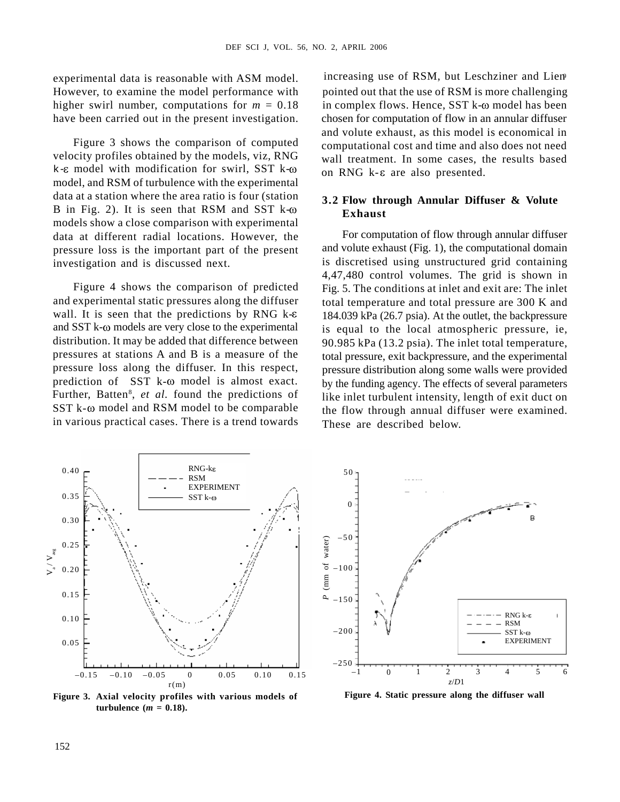experimental data is reasonable with ASM model. However, to examine the model performance with

Figure 3 shows the comparison of computed velocity profiles obtained by the models, viz, RNG  $k-\epsilon$  model with modification for swirl, SST  $k-\omega$ model, and RSM of turbulence with the experimental data at a station where the area ratio is four (station B in Fig. 2). It is seen that RSM and SST  $k-\omega$ models show a close comparison with experimental data at different radial locations. However, the pressure loss is the important part of the present

wall. It is seen that the predictions by RNG  $k-\varepsilon$ and SST k- $\omega$  models are very close to the experimental pressure loss along the diffuser. In this respect, Further, Batten<sup>8</sup>, et al. found the predictions of like inlet turbulent intensity, length of exit duct on in various practical cases. There is a trend towards

higher swirl number, computations for  $m = 0.18$  in complex flows. Hence, SST k- $\omega$  model has been have been carried out in the present investigation. chosen for computation of flow in an annular diffuser increasing use of RSM, but Leschziner and Liem pointed out that the use of RSM is more challenging and volute exhaust, as this model is economical in computational cost and time and also does not need wall treatment. In some cases, the results based on RNG  $k$ - $\varepsilon$  are also presented.

# **3.2 Flow through Annular Diffuser & Volute Exhaust**

investigation and is discussed next. is discretised using unstructured grid containing Figure 4 shows the comparison of predicted Fig. 5. The conditions at inlet and exit are: The inlet and experimental static pressures along the diffuser total temperature and total pressure are 300 K and distribution. It may be added that difference between 90.985 kPa (13.2 psia). The inlet total temperature, pressures at stations A and B is a measure of the total pressure, exit backpressure, and the experimental prediction of SST k- $\omega$  model is almost exact. by the funding agency. The effects of several parameters SST  $k$ - $\omega$  model and RSM model to be comparable the flow through annual diffuser were examined. For computation of flow through annular diffuser and volute exhaust (Fig. 1), the computational domain 4,47,480 control volumes. The grid is shown in 184.039 kPa (26.7 psia). At the outlet, the backpressure is equal to the local atmospheric pressure, ie, pressure distribution along some walls were provided These are described below.



turbulence  $(m = 0.18)$ .



**Figure 4. Static pressure along the diffuser wall**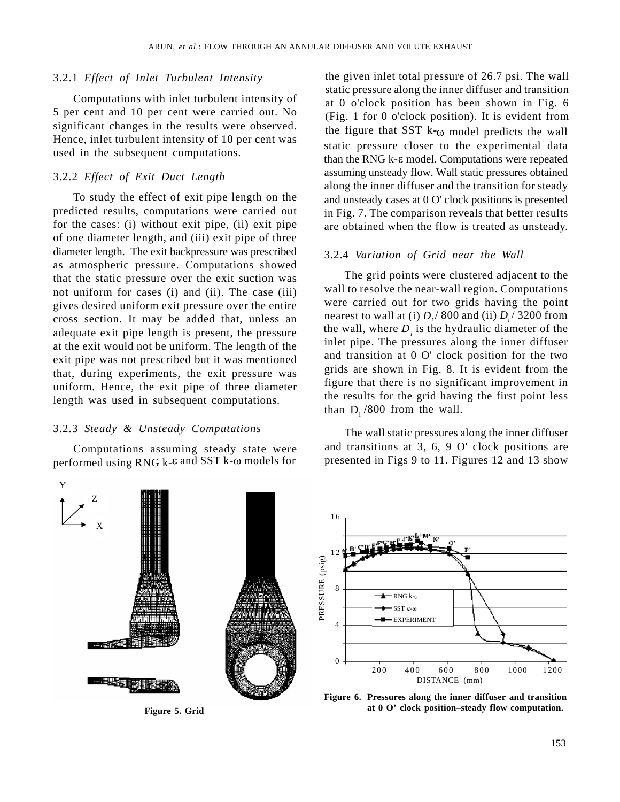# 3.2.1 *Effect of Inlet Turbulent Intensity*

Computations with inlet turbulent intensity of 5 per cent and 10 per cent were carried out. No significant changes in the results were observed. Hence, inlet turbulent intensity of 10 per cent was used in the subsequent computations.

# 3.2.2 *Effect of Exit Duct Length*

To study the effect of exit pipe length on the predicted results, computations were carried out for the cases: (i) without exit pipe, (ii) exit pipe of one diameter length, and (iii) exit pipe of three diameter length. The exit backpressure was prescribed as atmospheric pressure. Computations showed that the static pressure over the exit suction was not uniform for cases (i) and (ii). The case (iii) gives desired uniform exit pressure over the entire cross section. It may be added that, unless an adequate exit pipe length is present, the pressure at the exit would not be uniform. The length of the exit pipe was not prescribed but it was mentioned that, during experiments, the exit pressure was uniform. Hence, the exit pipe of three diameter length was used in subsequent computations.

# 3.2.3 *Steady & Unsteady Computations*

Computations assuming steady state were performed using RNG  $k$ - $\varepsilon$  and SST  $k$ - $\omega$  models for

the given inlet total pressure of 26.7 psi. The wall static pressure along the inner diffuser and transition at 0 o'clock position has been shown in Fig. 6 (Fig. 1 for 0 o'clock position). It is evident from the figure that SST  $k_{\omega}$  model predicts the wall static pressure closer to the experimental data than the RNG  $k$ - $\varepsilon$  model. Computations were repeated assuming unsteady flow. Wall static pressures obtained along the inner diffuser and the transition for steady and unsteady cases at 0 O' clock positions is presented in Fig. 7. The comparison reveals that better results are obtained when the flow is treated as unsteady.

### 3.2.4 *Variation of Grid near the Wall*

The grid points were clustered adjacent to the wall to resolve the near-wall region. Computations were carried out for two grids having the point nearest to wall at (i)  $D_i/$  800 and (ii)  $D_i/$  3200 from / 3200 from the wall, where  $D_i$  is the hydraulic diameter of the inlet pipe. The pressures along the inner diffuser and transition at 0 O' clock position for the two grids are shown in Fig. 8. It is evident from the figure that there is no significant improvement in the results for the grid having the first point less than  $D_i$  /800 from the wall.

The wall static pressures along the inner diffuser and transitions at 3, 6, 9 O' clock positions are presented in Figs 9 to 11. Figures 12 and 13 show

![](_page_6_Figure_11.jpeg)

![](_page_6_Figure_13.jpeg)

**Figure 5. Grid Figure 5. Grid Figure 5. Grid Figure 5. Grid Figure 5. Grid Figure 5. Grid Figure 5. Grid Figure 5. Grid Figure 5. Grid Figure 5. Grid Figure 5. Grid Figure 5. Grid Figure 5. Grid at 0 O' clock position–steady flow computation.**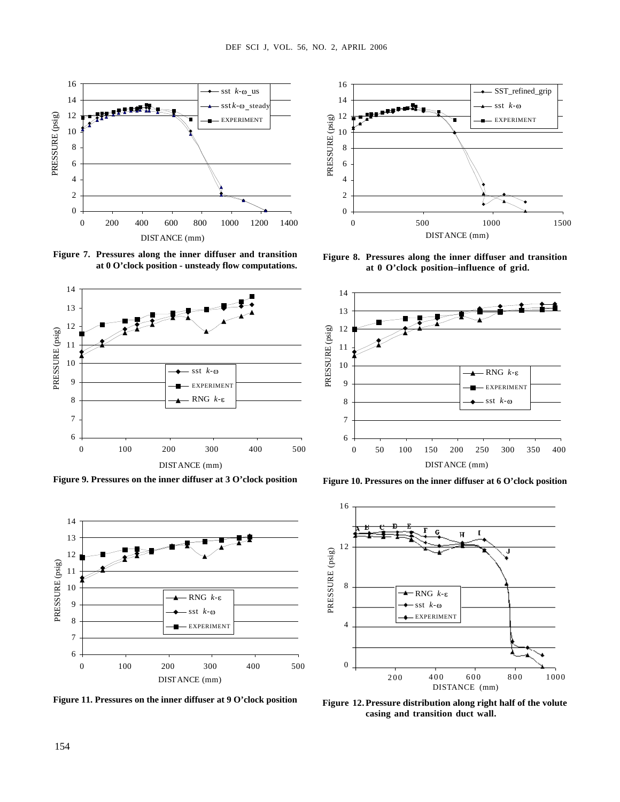![](_page_7_Figure_1.jpeg)

**at 0 O'clock position - unsteady flow computations.**

![](_page_7_Figure_3.jpeg)

**Figure 9. Pressures on the inner diffuser at 3 O'clock position Figure 10. Pressures on the inner diffuser at 6 O'clock position**

![](_page_7_Figure_5.jpeg)

**Figure 11. Pressures on the inner diffuser at 9 O'clock position**

![](_page_7_Figure_7.jpeg)

**at 0 O'clock position–influence of grid.**

![](_page_7_Figure_9.jpeg)

![](_page_7_Figure_11.jpeg)

**Figure 12.Pressure distribution along right half of the volute casing and transition duct wall.**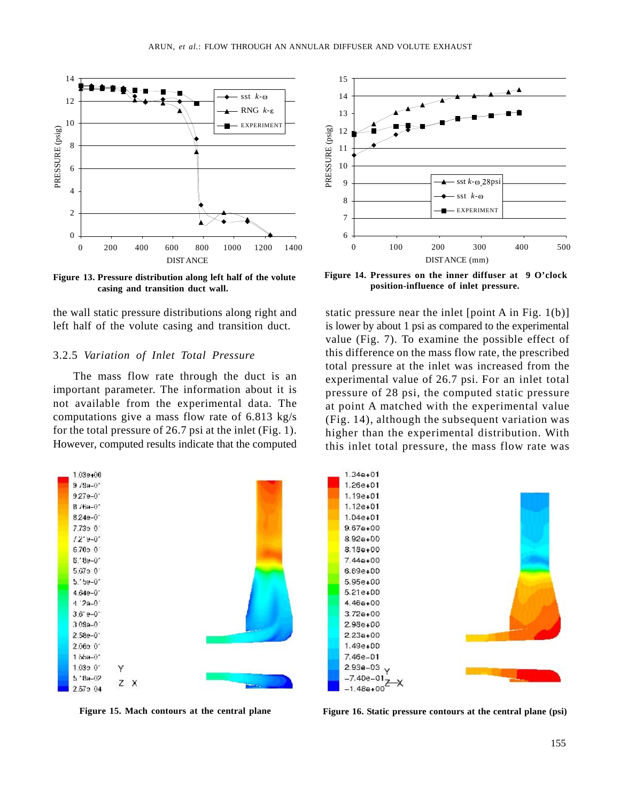![](_page_8_Figure_1.jpeg)

**casing and transition duct wall.**

# 3.2.5 *Variation of Inlet Total Pressure*

important parameter. The information about it is not available from the experimental data. The computations give a mass flow rate of 6.813 kg/s for the total pressure of 26.7 psi at the inlet (Fig. 1). However, computed results indicate that the computed

![](_page_8_Figure_6.jpeg)

![](_page_8_Figure_8.jpeg)

**position-influence of inlet pressure.**

the wall static pressure distributions along right and static pressure near the inlet [point A in Fig. 1(b)] left half of the volute casing and transition duct. is lower by about 1 psi as compared to the experimental The mass flow rate through the duct is an experimental value of 26.7 psi. For an inlet total value (Fig. 7). To examine the possible effect of this difference on the mass flow rate, the prescribed total pressure at the inlet was increased from the pressure of 28 psi, the computed static pressure at point A matched with the experimental value (Fig. 14), although the subsequent variation was higher than the experimental distribution. With this inlet total pressure, the mass flow rate was

![](_page_8_Figure_11.jpeg)

**Figure 15. Mach contours at the central plane Figure 16. Static pressure contours at the central plane (psi)**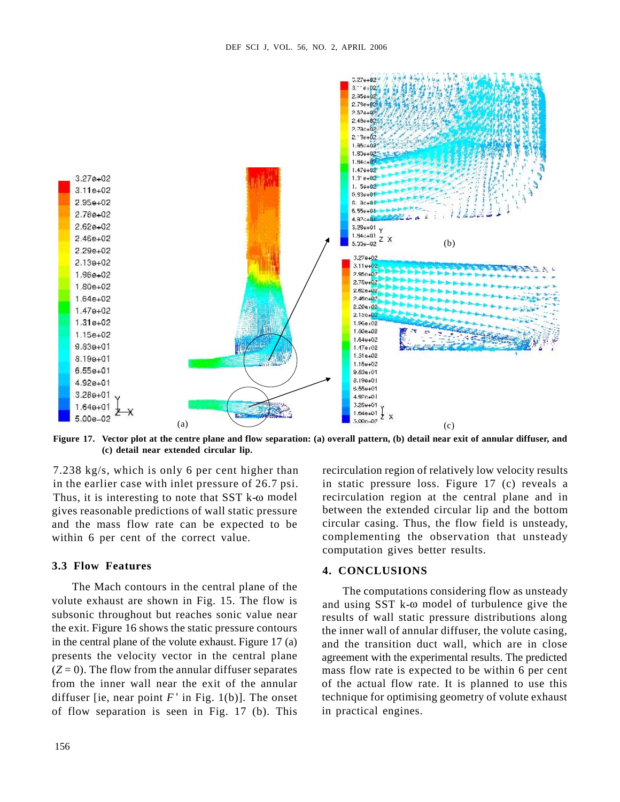![](_page_9_Figure_1.jpeg)

**(c) detail near extended circular lip.**

Thus, it is interesting to note that  $SST k-\omega$  model gives reasonable predictions of wall static pressure and the mass flow rate can be expected to be circular casing. Thus, the flow field is unsteady,

# **3.3 Flow Features**

The Mach contours in the central plane of the volute exhaust are shown in Fig. 15. The flow is subsonic throughout but reaches sonic value near the exit. Figure 16 shows the static pressure contours in the central plane of the volute exhaust. Figure 17 (a) presents the velocity vector in the central plane diffuser [ie, near point  $F'$  in Fig. 1(b)]. The onset of flow separation is seen in Fig. 17 (b). This

7.238 kg/s, which is only 6 per cent higher than recirculation region of relatively low velocity results in the earlier case with inlet pressure of 26.7 psi. in static pressure loss. Figure 17 (c) reveals a within 6 per cent of the correct value. Complementing the observation that unsteady recirculation region at the central plane and in between the extended circular lip and the bottom computation gives better results.

# **4. CONCLUSIONS**

 $(Z=0)$ . The flow from the annular diffuser separates mass flow rate is expected to be within 6 per cent from the inner wall near the exit of the annular of the actual flow rate. It is planned to use this The computations considering flow as unsteady and using  $SST k- $\omega$  model of turbulence give the$ results of wall static pressure distributions along the inner wall of annular diffuser, the volute casing, and the transition duct wall, which are in close agreement with the experimental results. The predicted technique for optimising geometry of volute exhaust in practical engines.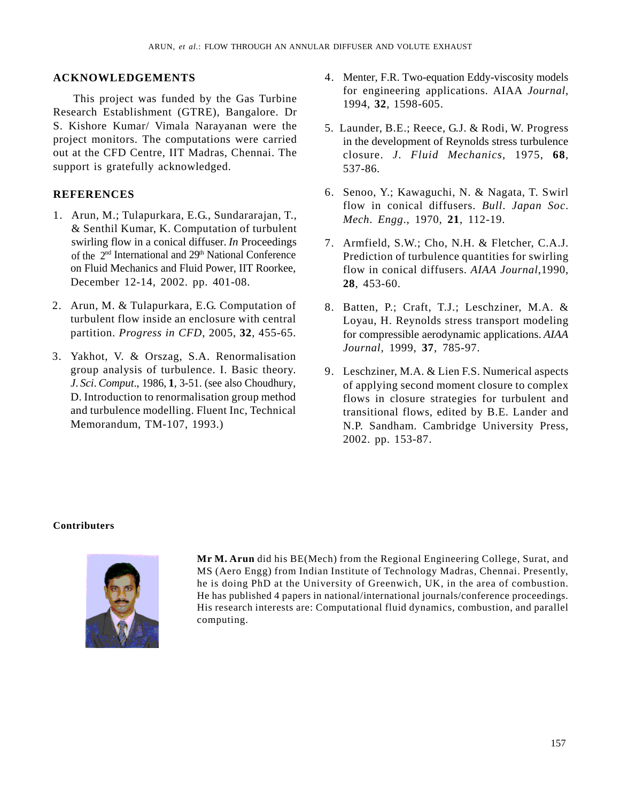This project was funded by the Gas Turbine Research Establishment (GTRE), Bangalore. Dr S. Kishore Kumar/ Vimala Narayanan were the 5. Launder, B.E.; Reece, G.J. & Rodi, W. Progress project monitors. The computations were carried out at the CFD Centre, IIT Madras, Chennai. The closure. *J*. *Fluid Mechanics*, 1975, **68**, support is gratefully acknowledged. 537-86.

- & Senthil Kumar, K. Computation of turbulent December 12-14, 2002. pp. 401-08. 28, 453-60.
- 
- group analysis of turbulence. I. Basic theory. 9. Leschziner, M.A. & Lien F.S. Numerical aspects
- **ACKNOWLEDGEMENTS** 4. Menter, F.R. Two-equation Eddy-viscosity models for engineering applications. AIAA *Journal,* 1994, **32**, 1598-605.
	- in the development of Reynolds stress turbulence 537-86.
- **REFERENCES** 6. Senoo, Y.; Kawaguchi, N. & Nagata, T. Swirl flow in conical diffusers. *Bull*. *Japan Soc*. *Mech*. *Engg*., 1970, **21**, 112-19.
	- swirling flow in a conical diffuser. *In* Proceedings 7. Armfield, S.W.; Cho, N.H. & Fletcher, C.A.J. of the 2<sup>nd</sup> International and 29<sup>th</sup> National Conference Prediction of turbulence quantities for swirling on Fluid Mechanics and Fluid Power, IIT Roorkee, flow in conical diffusers. *AIAA Journal*,1990, **28**, 453-60.
	- turbulent flow inside an enclosure with central Loyau, H. Reynolds stress transport modeling partition. *Progress in CFD*, 2005, **32**, 455-65. for compressible aerodynamic applications. *AIAA Journal*, 1999, **37**, 785-97.
- *J*. *Sci*. *Comput*., 1986, **1**, 3-51. (see also Choudhury, of applying second moment closure to complex D. Introduction to renormalisation group method flows in closure strategies for turbulent and and turbulence modelling. Fluent Inc, Technical transitional flows, edited by B.E. Lander and Memorandum, TM-107, 1993.) N.P. Sandham. Cambridge University Press, R DIFFUSER AND VOLUTE EXHAUST<br>
4. Menter, F.R. Two-equation Eddy-viscosity models<br>
for engineering applications. AIAA *Journal*,<br>
1994, 32, 1598-605.<br>
5. Launder, B.E.: Reccc. G.J. & Rodi, W. Progress<br>
in the development R DIFTUSER AND VOLUTE EXHAUST<br>
4. Menter, F.R. Two-equation Eddy-viscosity models<br>
for engineering applications. AIAA Journal,<br>
1994, 32, 1598-605.<br>
5. Lander, B.E.; Reecc, G.J. & Rodi, W. Progress<br>
closure. J. Fluid Mecha R DITTISTE AND VOLUTE EXITATIST<br>
4. Menter, F.R. Two-equation Eddy-viscosity models<br>
for engineering applications. AIAA Journal,<br>
1994, 32. 1598-605.<br>
into development of Reynolds stress utroluence<br>
closure. *I. Fluid Mec* R DIFFUSER AND VOLUTE EXITATIST<br>
4. Menter, F.R. Two-equation Eddy-viscosity models<br>
for engineering applications. AIAA Journal,<br>
1994, 32. 1593-603.<br>
in the development of Repnods stress univelence<br>
in the development of 2002. pp. 153-87.

# **Contributers**

![](_page_10_Picture_14.jpeg)

ARN OWLEDGEMENTS<br>
ACKNOWLEDGEMENTS<br>
1. Abdient, F.K. Iver-guasion Eddy-viscosity models<br>
Take project was finaled by the Gen Tuckins.<br>
1. Abdient, F.K. Iver-guasion Eddy-viscosity models<br>
Theoretic metric in the computer 2. Arm M. B. Theorem are the computation of the matter in the spin state of the computation of the computer of the computer of the computer of the computer of the computation of the computation of the computation of the c 3. NEW OUR DESIMIENTS<br>
3. The projection function of the state of the state of the state of the state of the state of the state of the<br>
3. The projection function of the state of the state of the state of the<br>
Benedict of **Mr M. Arun** did his BE(Mech) from the Regional Engineering College, Surat, and MS (Aero Engg) from Indian Institute of Technology Madras, Chennai. Presently, he is doing PhD at the University of Greenwich, UK, in the area of combustion. He has published 4 papers in national/international journals/conference proceedings. His research interests are: Computational fluid dynamics, combustion, and parallel computing.